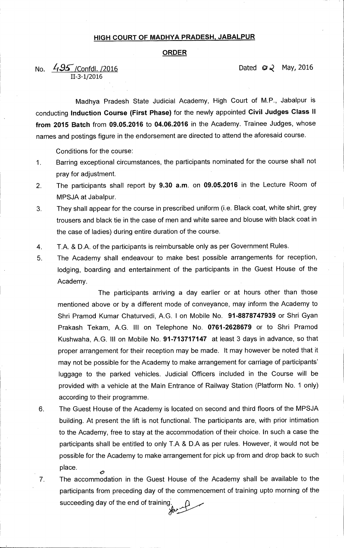## **HIGH COURT OF MADHYA PRADESH, JABALPUR**

## **ORDER**

No.  $\frac{7.95}{1000}$  /Confdl. /2016 <sup>11</sup>-3-1/2016

Madhya Pradesh State Judicial Academy, High Court of M.P., Jabalpur is conducting **Induction Course (First Phase)** for the newly appointed **Civil. Judges Class ll from 2015 Batch** from **09.05.2016** to **04.06.2016** in the Academy. Trainee Judges, whose names and postings figure in the endorsement are directed to attend the aforesaid course.

Conditions for the course:

- 1. Barring exceptional circumstances, the participants nominated for the course shall not pray for adjustment.
- 2. The participants shall report by **9.30 a.m.** on **09.05.2016** in the Lecture Room of MPSJA at Jabalpur.
- 3. They shall appear for the course in prescribed uniform (i.e. Black coat, white shirt, grey trousers and black tie in the case of men and white saree and blouse with black coat in the case of ladies) during entire duration of the course.
- 4. T.A. & D.A. of the participants is reimbursable only as per Government Rules.
- 5. The Academy shall endeavour to make best possible arrangements for reception, lodging, boarding and entertainment of the participants in the Guest House of the Academy.

The participants arriving a day earlier or at hours other than those mentioned above or by a different mode of conveyance, may inform the Academy to Shri Pramod Kumar Chaturvedi, A.G. I on Mobile No. **91-8878747939** or Shri Gyan Prakash Tekam, A.G. III on Telephone No. **0761-2628679** or to Shri Pramod Kushwaha, A.G. III on Mobile No. **91-713717147** at least 3 days in advance, so that proper arrangement for their reception may be made. It may however be noted that it may not be possible for the Academy to make arrangement for carriage of participants' luggage to the parked vehicles. Judicial Officers included in the Course will be provided with a vehicle at the Main Entrance of Railway Station (Platform No. 1 only) according to their programme.

- 6. The Guest House of the Academy is located on second and third floors of the MPSJA building. At present the lift is not functional. The participants are, with prior intimation to the Academy, free to stay at the accommodation of their choice. In such a case the participants shall be entitled to only T.A & D.A as per rules. However, it would not be possible for the Academy to make arrangement for pick up from and drop back to such place. Ó
- 7. The accommodation in the Guest House of the Academy shall be available to the participants from preceding day of the commencement of training upto morning of the succeeding day of the end of training'. dere 1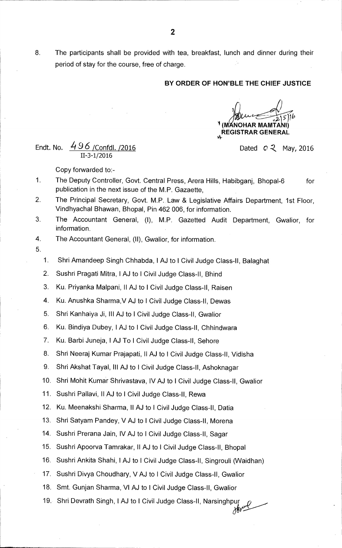8. The participants shall be provided with tea, breakfast, lunch and dinner during their period of stay for the course, free of charge.

## **1 BY ORDER OF HON'BLE THE CHIEF JUSTICE**

**02-0/1' (IVI` NOHAR MAMTANI) REGISTRAR GENERAL** 

Endt. No.  $\frac{496}{\sqrt{6}}$  /Confdl. /2016 **11-3-1/2016** 

**Copy forwarded to:-** 

- **1 The Deputy Controller, Govt. Central Press, Arera Hills, Habibganj, Bhopal-6 for publication in the next issue of the M.P. Gazaette,**
- **2. The Principal Secretary, Govt. M.P. Law & Legislative Affairs Department, 1st Floor, Vindhyachal Bhawan, Bhopal, Pin 462 006, for information.**
- **3. The Accountant General, (I), M.P. Gazetted Audit Department, Gwalior, for information.**
- **4. The Accountant General, (II), Gwalior, for information.**
- **5.**

**1. Shri Amandeep Singh Chhabda, I AJ to 1 Civil Judge Class-II, Balaghat** 

- **2. Sushri Pragati Mitra, IAJ to I Civil Judge Class-II, Bhind**
- **3. Ku. Priyanka Malpani, II AJ to !Civil Judge Class-II, Raisen**
- **4. Ku. Anushka Sharma,V AJ to 1 Civil Judge Class-II, Dewas**
- **5. Shri Kanhaiya Ji, III AJ to 1 Civil Judge Class-II, Gwalior**
- **6. Ku. Bindiya Dubey, IAJ to I Civil Judge Class-II, Chhindwara**
- **7. Ku. Barbi Juneja, I AJ To 1 Civil Judge Class-II, Sehore**
- **8. Shri Neeraj Kumar Prajapati, II AJ to I Civil Judge Class-II, Vidisha**
- **9. Shri Akshat Tayal, Ill AJ to I Civil Judge Class-II, Ashoknagar**

**10. Shri Mohit Kumar Shrivastava, IV AJ to 1 Civil Judge Class-II, Gwalior** 

- **11. Sushri Pallavi, II AJ to 1 Civil Judge Class-II, Rewa**
- **12. Ku. Meenakshi Sharma, II AJ to 1 Civil Judge Class-II, Datia**
- **13. Shri Satyam Pandey, V AJ to 1 Civil Judge Class-II, Morena**
- 14. Sushri Prerana Jain, IV AJ to I Civil Judge Class-II, Sagar
- **15. Sushri Apoorva Tamrakar, II AJ to I Civil Judge Class-II, Bhopal**
- **16. Sushri Ankita Shahi, I AJ to 1 Civil Judge Class-II, Singrouli (Waidhan)**
- **17. Sushri Divya Choudhary, V AJ to I Civil Judge Class-II, Gwalior**
- **18. Smt. Gunjan Sharma, VI AJ to 1 Civil Judge Class-II, Gwalior**
- **19. Shri Devrath Singh, IAJ to 1 Civil Judge Class-II, Narsingh7yye**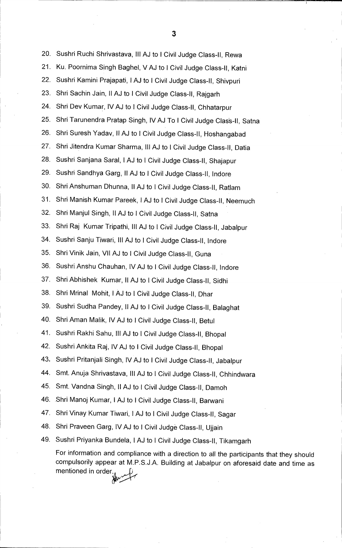20. Sushri Ruchi Shrivastava, Ill AJ to I Civil Judge Class-II, Rewa 21. Ku. Poornima Singh Baghel, V AJ to I Civil Judge Class-II, Katni 22. Sushri Kamini Prajapati, I AJ to I Civil Judge Class-II, Shivpuri 23. Shri Sachin Jain, ll AJ to I Civil Judge Class-II, Rajgarh 24. Shri Dev Kumar, IV AJ to I Civil Judge Class-II, Chhatarpur 25. Shri Tarunendra Pratap Singh, IV AJ To I Civil Judge Clas's-II, Satna 26. Shri Suresh Yadav, II AJ to I Civil Judge Class-II, Hoshangabad 27. Shri Jitendra Kumar Sharma, Ill AJ to I Civil Judge Class-II, Datia 28. Sushri Sanjana Saral, I AJ to I Civil Judge Class-II, Shajapur 29. Sushri Sandhya Garg, II AJ to I Civil Judge Class-II, Indore 30. Shri Anshuman Dhunna, II AJ to I Civil Judge Class-II, Ratlam 31. Shri Manish Kumar Pareek, I AJ to I Civil Judge Class-II, Neemuch 32. Shri Manjul Singh, II AJ to I Civil Judge Class-II, Satna 33. Shri Raj Kumar Tripathi, III AJ to I Civil Judge Class-II, Jabalpur 34. Sushri Sanju Tiwari, Ill AJ to I Civil Judge Class-II, Indore 35. Shri Vinik Jain, VII AJ to I Civil Judge Class-II, Guna 36. Sushri Anshu Chauhan, IV AJ to I Civil Judge Class-II, Indore 37. Shri Abhishek Kumar, II AJ to I Civil Judge Class-II, Sidhi 38. Shri Mrinal Mohit, I AJ to I Civil Judge Class-II, Dhar 39. Sushri Sudha Pandey, II AJ to I Civil Judge Class-II, Balaghat 40. Shri Aman Malik, IV AJ to I Civil Judge Class-II, Betul 41. Sushri Rakhi Sahu, Ill AJ to I Civil Judge Class-II, Bhopal 42. Sushri Ankita Raj, IV AJ to I Civil Judge Class-II, Bhopal 43. Sushri Pritanjali Singh, IV AJ to I Civil Judge Class-II, Jabalpur 44. Smt. Anuja Shrivastava, III AJ to I Civil Judge Class-II, Chhindwara 45. Smt. Vandna Singh, ll AJ to I Civil Judge Class-II, Damoh 46. .Shri Manoj Kumar, I AJ to I Civil Judge Class-II, Barwani 47. Shri Vinay Kumar Tiwari, I AJ to I Civil Judge Class-II, Sagar 48. Shri Praveen Garg, IV AJ to I Civil Judge Class-II, Ujjain 49. Sushri Priyanka Bundela, I AJ to I Civil Judge Class-II, Tikamgarh For information and compliance with a direction to all the participants that they should compulsorily appear at M.P.S.J.A. Building at Jabalpur on aforesaid date and time as mentioned in order.

**3**